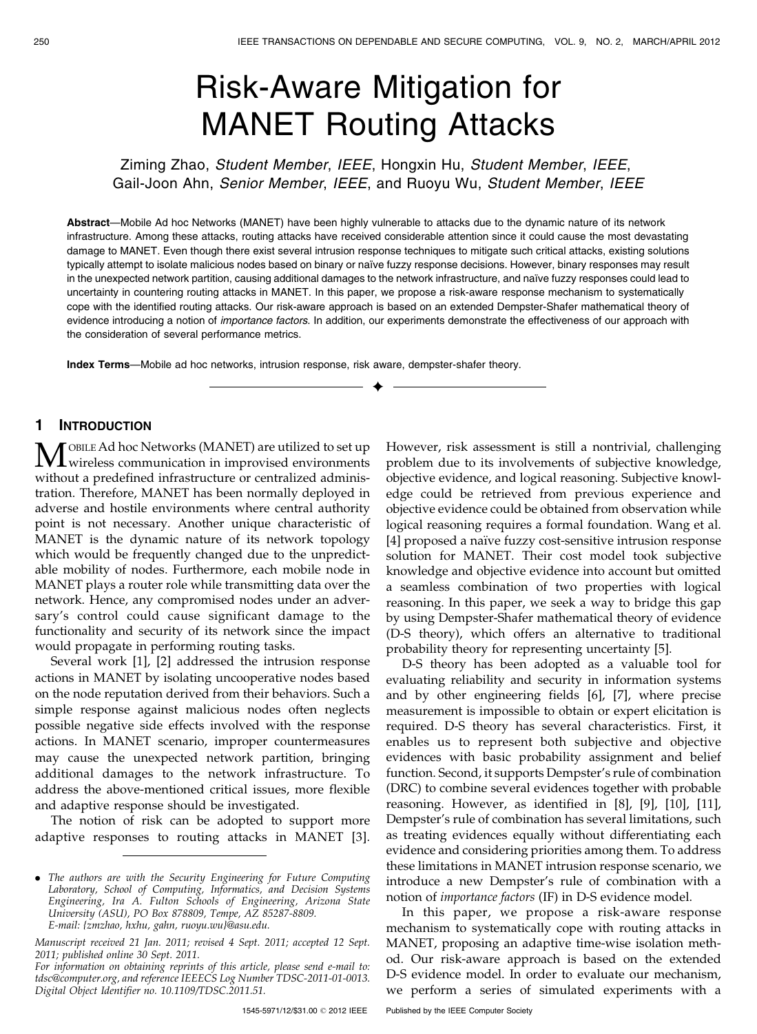# Risk-Aware Mitigation for MANET Routing Attacks

Ziming Zhao, Student Member, IEEE, Hongxin Hu, Student Member, IEEE, Gail-Joon Ahn, Senior Member, IEEE, and Ruoyu Wu, Student Member, IEEE

Abstract—Mobile Ad hoc Networks (MANET) have been highly vulnerable to attacks due to the dynamic nature of its network infrastructure. Among these attacks, routing attacks have received considerable attention since it could cause the most devastating damage to MANET. Even though there exist several intrusion response techniques to mitigate such critical attacks, existing solutions typically attempt to isolate malicious nodes based on binary or naïve fuzzy response decisions. However, binary responses may result in the unexpected network partition, causing additional damages to the network infrastructure, and naïve fuzzy responses could lead to uncertainty in countering routing attacks in MANET. In this paper, we propose a risk-aware response mechanism to systematically cope with the identified routing attacks. Our risk-aware approach is based on an extended Dempster-Shafer mathematical theory of evidence introducing a notion of *importance factors*. In addition, our experiments demonstrate the effectiveness of our approach with the consideration of several performance metrics.

 $\ddotmark$ 

Index Terms—Mobile ad hoc networks, intrusion response, risk aware, dempster-shafer theory.

# 1 INTRODUCTION

MOBILEAd hoc Networks (MANET) are utilized to set up wireless communication in improvised environments without a predefined infrastructure or centralized administration. Therefore, MANET has been normally deployed in adverse and hostile environments where central authority point is not necessary. Another unique characteristic of MANET is the dynamic nature of its network topology which would be frequently changed due to the unpredictable mobility of nodes. Furthermore, each mobile node in MANET plays a router role while transmitting data over the network. Hence, any compromised nodes under an adversary's control could cause significant damage to the functionality and security of its network since the impact would propagate in performing routing tasks.

Several work [1], [2] addressed the intrusion response actions in MANET by isolating uncooperative nodes based on the node reputation derived from their behaviors. Such a simple response against malicious nodes often neglects possible negative side effects involved with the response actions. In MANET scenario, improper countermeasures may cause the unexpected network partition, bringing additional damages to the network infrastructure. To address the above-mentioned critical issues, more flexible and adaptive response should be investigated.

The notion of risk can be adopted to support more adaptive responses to routing attacks in MANET [3]. However, risk assessment is still a nontrivial, challenging problem due to its involvements of subjective knowledge, objective evidence, and logical reasoning. Subjective knowledge could be retrieved from previous experience and objective evidence could be obtained from observation while logical reasoning requires a formal foundation. Wang et al. [4] proposed a naïve fuzzy cost-sensitive intrusion response solution for MANET. Their cost model took subjective knowledge and objective evidence into account but omitted a seamless combination of two properties with logical reasoning. In this paper, we seek a way to bridge this gap by using Dempster-Shafer mathematical theory of evidence (D-S theory), which offers an alternative to traditional probability theory for representing uncertainty [5].

D-S theory has been adopted as a valuable tool for evaluating reliability and security in information systems and by other engineering fields [6], [7], where precise measurement is impossible to obtain or expert elicitation is required. D-S theory has several characteristics. First, it enables us to represent both subjective and objective evidences with basic probability assignment and belief function. Second, it supports Dempster's rule of combination (DRC) to combine several evidences together with probable reasoning. However, as identified in [8], [9], [10], [11], Dempster's rule of combination has several limitations, such as treating evidences equally without differentiating each evidence and considering priorities among them. To address these limitations in MANET intrusion response scenario, we introduce a new Dempster's rule of combination with a notion of importance factors (IF) in D-S evidence model.

In this paper, we propose a risk-aware response mechanism to systematically cope with routing attacks in MANET, proposing an adaptive time-wise isolation method. Our risk-aware approach is based on the extended D-S evidence model. In order to evaluate our mechanism, we perform a series of simulated experiments with a

<sup>.</sup> The authors are with the Security Engineering for Future Computing Laboratory, School of Computing, Informatics, and Decision Systems Engineering, Ira A. Fulton Schools of Engineering, Arizona State University (ASU), PO Box 878809, Tempe, AZ 85287-8809. E-mail: {zmzhao, hxhu, gahn, ruoyu.wu}@asu.edu.

Manuscript received 21 Jan. 2011; revised 4 Sept. 2011; accepted 12 Sept. 2011; published online 30 Sept. 2011.

For information on obtaining reprints of this article, please send e-mail to: tdsc@computer.org, and reference IEEECS Log Number TDSC-2011-01-0013. Digital Object Identifier no. 10.1109/TDSC.2011.51.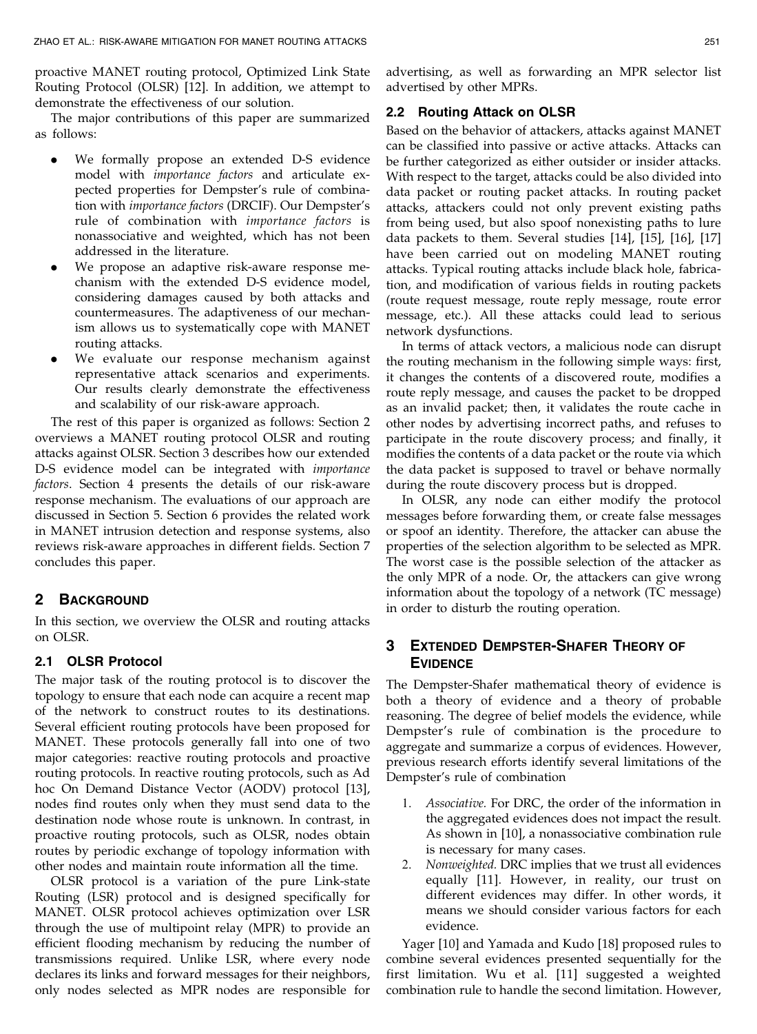proactive MANET routing protocol, Optimized Link State Routing Protocol (OLSR) [12]. In addition, we attempt to demonstrate the effectiveness of our solution.

The major contributions of this paper are summarized as follows:

- . We formally propose an extended D-S evidence model with importance factors and articulate expected properties for Dempster's rule of combination with importance factors (DRCIF). Our Dempster's rule of combination with importance factors is nonassociative and weighted, which has not been addressed in the literature.
- . We propose an adaptive risk-aware response mechanism with the extended D-S evidence model, considering damages caused by both attacks and countermeasures. The adaptiveness of our mechanism allows us to systematically cope with MANET routing attacks.
- . We evaluate our response mechanism against representative attack scenarios and experiments. Our results clearly demonstrate the effectiveness and scalability of our risk-aware approach.

The rest of this paper is organized as follows: Section 2 overviews a MANET routing protocol OLSR and routing attacks against OLSR. Section 3 describes how our extended D-S evidence model can be integrated with importance factors. Section 4 presents the details of our risk-aware response mechanism. The evaluations of our approach are discussed in Section 5. Section 6 provides the related work in MANET intrusion detection and response systems, also reviews risk-aware approaches in different fields. Section 7 concludes this paper.

#### 2 BACKGROUND

In this section, we overview the OLSR and routing attacks on OLSR.

#### 2.1 OLSR Protocol

The major task of the routing protocol is to discover the topology to ensure that each node can acquire a recent map of the network to construct routes to its destinations. Several efficient routing protocols have been proposed for MANET. These protocols generally fall into one of two major categories: reactive routing protocols and proactive routing protocols. In reactive routing protocols, such as Ad hoc On Demand Distance Vector (AODV) protocol [13], nodes find routes only when they must send data to the destination node whose route is unknown. In contrast, in proactive routing protocols, such as OLSR, nodes obtain routes by periodic exchange of topology information with other nodes and maintain route information all the time.

OLSR protocol is a variation of the pure Link-state Routing (LSR) protocol and is designed specifically for MANET. OLSR protocol achieves optimization over LSR through the use of multipoint relay (MPR) to provide an efficient flooding mechanism by reducing the number of transmissions required. Unlike LSR, where every node declares its links and forward messages for their neighbors, only nodes selected as MPR nodes are responsible for

advertising, as well as forwarding an MPR selector list advertised by other MPRs.

#### 2.2 Routing Attack on OLSR

Based on the behavior of attackers, attacks against MANET can be classified into passive or active attacks. Attacks can be further categorized as either outsider or insider attacks. With respect to the target, attacks could be also divided into data packet or routing packet attacks. In routing packet attacks, attackers could not only prevent existing paths from being used, but also spoof nonexisting paths to lure data packets to them. Several studies [14], [15], [16], [17] have been carried out on modeling MANET routing attacks. Typical routing attacks include black hole, fabrication, and modification of various fields in routing packets (route request message, route reply message, route error message, etc.). All these attacks could lead to serious network dysfunctions.

In terms of attack vectors, a malicious node can disrupt the routing mechanism in the following simple ways: first, it changes the contents of a discovered route, modifies a route reply message, and causes the packet to be dropped as an invalid packet; then, it validates the route cache in other nodes by advertising incorrect paths, and refuses to participate in the route discovery process; and finally, it modifies the contents of a data packet or the route via which the data packet is supposed to travel or behave normally during the route discovery process but is dropped.

In OLSR, any node can either modify the protocol messages before forwarding them, or create false messages or spoof an identity. Therefore, the attacker can abuse the properties of the selection algorithm to be selected as MPR. The worst case is the possible selection of the attacker as the only MPR of a node. Or, the attackers can give wrong information about the topology of a network (TC message) in order to disturb the routing operation.

# 3 EXTENDED DEMPSTER-SHAFER THEORY OF **EVIDENCE**

The Dempster-Shafer mathematical theory of evidence is both a theory of evidence and a theory of probable reasoning. The degree of belief models the evidence, while Dempster's rule of combination is the procedure to aggregate and summarize a corpus of evidences. However, previous research efforts identify several limitations of the Dempster's rule of combination

- 1. Associative. For DRC, the order of the information in the aggregated evidences does not impact the result. As shown in [10], a nonassociative combination rule is necessary for many cases.
- 2. Nonweighted. DRC implies that we trust all evidences equally [11]. However, in reality, our trust on different evidences may differ. In other words, it means we should consider various factors for each evidence.

Yager [10] and Yamada and Kudo [18] proposed rules to combine several evidences presented sequentially for the first limitation. Wu et al. [11] suggested a weighted combination rule to handle the second limitation. However,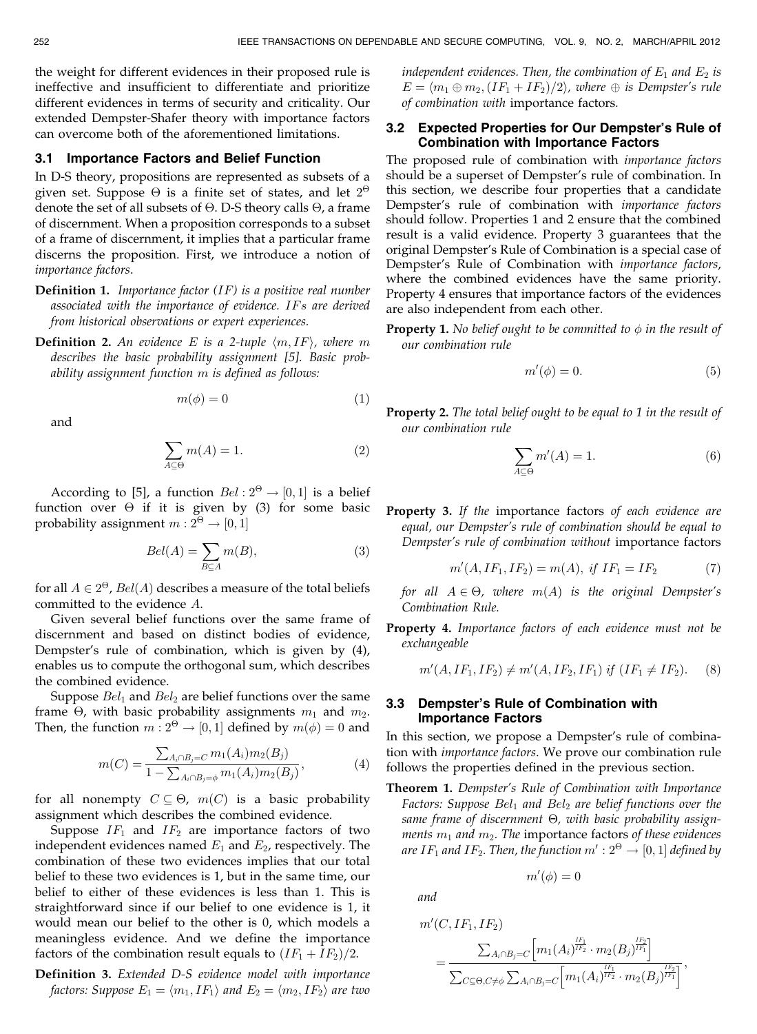### 3.1 Importance Factors and Belief Function

can overcome both of the aforementioned limitations.

In D-S theory, propositions are represented as subsets of a given set. Suppose  $\Theta$  is a finite set of states, and let  $2^\Theta$ denote the set of all subsets of  $\Theta$ . D-S theory calls  $\Theta$ , a frame of discernment. When a proposition corresponds to a subset of a frame of discernment, it implies that a particular frame discerns the proposition. First, we introduce a notion of importance factors.

- **Definition 1.** Importance factor  $(IF)$  is a positive real number associated with the importance of evidence. IFs are derived from historical observations or expert experiences.
- **Definition 2.** An evidence E is a 2-tuple  $\langle m, IF \rangle$ , where m describes the basic probability assignment [5]. Basic probability assignment function m is defined as follows:

$$
m(\phi) = 0 \tag{1}
$$

and

$$
\sum_{A \subseteq \Theta} m(A) = 1. \tag{2}
$$

According to [5], a function  $Bel: 2^{\Theta} \rightarrow [0,1]$  is a belief function over  $\Theta$  if it is given by (3) for some basic probability assignment  $m: 2^\Theta \rightarrow [0,1]$ 

$$
Bel(A) = \sum_{B \subseteq A} m(B), \tag{3}
$$

for all  $A \in 2^{\Theta}$ ,  $Bel(A)$  describes a measure of the total beliefs committed to the evidence A.

Given several belief functions over the same frame of discernment and based on distinct bodies of evidence, Dempster's rule of combination, which is given by (4), enables us to compute the orthogonal sum, which describes the combined evidence.

Suppose  $Bel_1$  and  $Bel_2$  are belief functions over the same frame  $\Theta$ , with basic probability assignments  $m_1$  and  $m_2$ . Then, the function  $m: 2^{\Theta} \rightarrow [0,1]$  defined by  $m(\phi) = 0$  and

$$
m(C) = \frac{\sum_{A_i \cap B_j = C} m_1(A_i) m_2(B_j)}{1 - \sum_{A_i \cap B_j = \phi} m_1(A_i) m_2(B_j)},
$$
(4)

for all nonempty  $C \subseteq \Theta$ ,  $m(C)$  is a basic probability assignment which describes the combined evidence.

Suppose  $IF_1$  and  $IF_2$  are importance factors of two independent evidences named  $E_1$  and  $E_2$ , respectively. The combination of these two evidences implies that our total belief to these two evidences is 1, but in the same time, our belief to either of these evidences is less than 1. This is straightforward since if our belief to one evidence is 1, it would mean our belief to the other is 0, which models a meaningless evidence. And we define the importance factors of the combination result equals to  $(IF_1 + IF_2)/2$ .

Definition 3. Extended D-S evidence model with importance factors: Suppose  $E_1 = \langle m_1, IF_1 \rangle$  and  $E_2 = \langle m_2, IF_2 \rangle$  are two

independent evidences. Then, the combination of  $E_1$  and  $E_2$  is  $E = \langle m_1 \oplus m_2, (IF_1 + IF_2)/2 \rangle$ , where  $\oplus$  is Dempster's rule

# of combination with importance factors.

#### 3.2 Expected Properties for Our Dempster's Rule of Combination with Importance Factors

The proposed rule of combination with importance factors should be a superset of Dempster's rule of combination. In this section, we describe four properties that a candidate Dempster's rule of combination with importance factors should follow. Properties 1 and 2 ensure that the combined result is a valid evidence. Property 3 guarantees that the original Dempster's Rule of Combination is a special case of Dempster's Rule of Combination with importance factors, where the combined evidences have the same priority. Property 4 ensures that importance factors of the evidences are also independent from each other.

**Property 1.** No belief ought to be committed to  $\phi$  in the result of our combination rule

$$
m'(\phi) = 0.\t\t(5)
$$

**Property 2.** The total belief ought to be equal to 1 in the result of our combination rule

$$
\sum_{A \subseteq \Theta} m'(A) = 1. \tag{6}
$$

Property 3. If the importance factors of each evidence are equal, our Dempster's rule of combination should be equal to Dempster's rule of combination without importance factors

$$
m'(A, IF_1, IF_2) = m(A), \text{ if } IF_1 = IF_2 \tag{7}
$$

for all  $A\in \Theta$ , where  $m(A)$  is the original Dempster's Combination Rule.

Property 4. Importance factors of each evidence must not be exchangeable

$$
m'(A, IF_1, IF_2) \neq m'(A, IF_2, IF_1) \text{ if } (IF_1 \neq IF_2). \tag{8}
$$

#### 3.3 Dempster's Rule of Combination with Importance Factors

In this section, we propose a Dempster's rule of combination with importance factors. We prove our combination rule follows the properties defined in the previous section.

Theorem 1. Dempster's Rule of Combination with Importance Factors: Suppose  $Bel<sub>1</sub>$  and  $Bel<sub>2</sub>$  are belief functions over the same frame of discernment  $\Theta$ , with basic probability assignments  $m_1$  and  $m_2$ . The importance factors of these evidences are I $F_1$  and I $F_2$ . Then, the function  $m':2^\Theta\rightarrow [0,1]$  defined by

$$
m'(\phi) = 0
$$

and

$$
m'(C, IF_1, IF_2)
$$
  
= 
$$
\frac{\sum_{A_i \cap B_j = C} \left[ m_1(A_i)^{\frac{IF_1}{IF_2}} \cdot m_2(B_j)^{\frac{IF_2}{IF_1}} \right]}{\sum_{C \subseteq \Theta, C \neq \phi} \sum_{A_i \cap B_j = C} \left[ m_1(A_i)^{\frac{IF_1}{IF_2}} \cdot m_2(B_j)^{\frac{IF_2}{IF_1}} \right]},
$$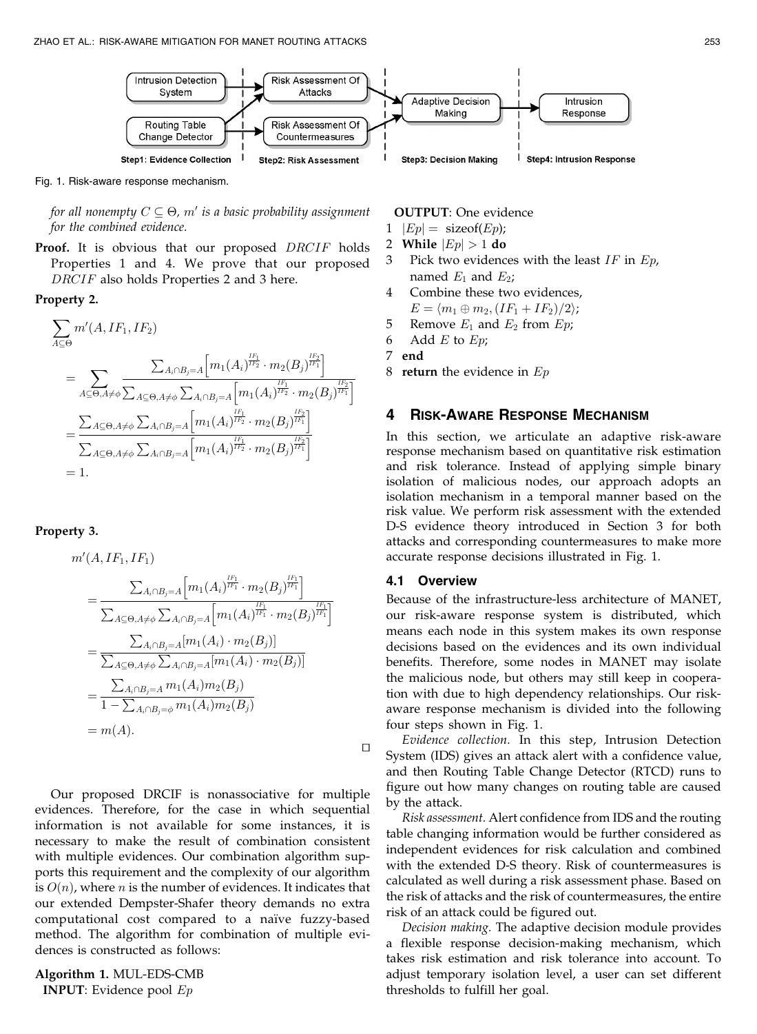

Fig. 1. Risk-aware response mechanism.

for all nonempty  $C \subseteq \Theta$ ,  $m'$  is a basic probability assignment for the combined evidence.

Proof. It is obvious that our proposed DRCIF holds Properties 1 and 4. We prove that our proposed DRCIF also holds Properties 2 and 3 here.

#### Property 2.

$$
\sum_{A \subseteq \Theta} m'(A, IF_1, IF_2)
$$
\n
$$
= \sum_{A \subseteq \Theta, A \neq \phi} \frac{\sum_{A_i \cap B_j = A} \left[ m_1(A_i)^{\frac{IF_1}{IF_2}} \cdot m_2(B_j)^{\frac{IF_2}{IF_1}} \right]}{\sum_{A \subseteq \Theta, A \neq \phi} \sum_{A_i \cap B_j = A} \left[ m_1(A_i)^{\frac{IF_1}{IF_2}} \cdot m_2(B_j)^{\frac{IF_2}{IF_1}} \right]}
$$
\n
$$
= \frac{\sum_{A \subseteq \Theta, A \neq \phi} \sum_{A_i \cap B_j = A} \left[ m_1(A_i)^{\frac{IF_1}{IF_2}} \cdot m_2(B_j)^{\frac{IF_2}{IF_1}} \right]}{\sum_{A \subseteq \Theta, A \neq \phi} \sum_{A_i \cap B_j = A} \left[ m_1(A_i)^{\frac{IF_1}{IF_2}} \cdot m_2(B_j)^{\frac{IF_2}{IF_1}} \right]}
$$
\n= 1.

#### Property 3.

$$
m'(A, IF_1, IF_1)
$$
  
= 
$$
\frac{\sum_{A_i \cap B_j = A} \left[ m_1(A_i)^{\frac{IF_1}{IF_1}} \cdot m_2(B_j)^{\frac{IF_1}{IF_1}} \right]}{\sum_{A \subseteq \Theta, A \neq \phi} \sum_{A_i \cap B_j = A} \left[ m_1(A_i)^{\frac{IF_1}{IF_1}} \cdot m_2(B_j)^{\frac{IF_1}{IF_1}} \right]}
$$
  
= 
$$
\frac{\sum_{A_i \cap B_j = A} \left[ m_1(A_i) \cdot m_2(B_j) \right]}{\sum_{A \subseteq \Theta, A \neq \phi} \sum_{A_i \cap B_j = A} \left[ m_1(A_i) \cdot m_2(B_j) \right]}
$$
  
= 
$$
\frac{\sum_{A_i \cap B_j = A} m_1(A_i) m_2(B_j)}{1 - \sum_{A_i \cap B_j = \phi} m_1(A_i) m_2(B_j)}
$$
  
= 
$$
m(A).
$$

Our proposed DRCIF is nonassociative for multiple evidences. Therefore, for the case in which sequential information is not available for some instances, it is necessary to make the result of combination consistent with multiple evidences. Our combination algorithm supports this requirement and the complexity of our algorithm is  $O(n)$ , where *n* is the number of evidences. It indicates that our extended Dempster-Shafer theory demands no extra computational cost compared to a naïve fuzzy-based method. The algorithm for combination of multiple evidences is constructed as follows:

Algorithm 1. MUL-EDS-CMB INPUT: Evidence pool Ep

OUTPUT: One evidence

- 1  $|Ep| = \text{sizeof}(Ep);$
- 2 While  $|Ep| > 1$  do
- 3 Pick two evidences with the least  $IF$  in  $Ep$ , named  $E_1$  and  $E_2$ ;
- 4 Combine these two evidences,
- $E = \langle m_1 \oplus m_2, (IF_1 + IF_2)/2 \rangle;$
- 5 Remove  $E_1$  and  $E_2$  from  $Ep$ ;
- 6 Add E to  $Ep$ ;
- 7 end
- 8 return the evidence in  $Ep$

# 4 RISK-AWARE RESPONSE MECHANISM

In this section, we articulate an adaptive risk-aware response mechanism based on quantitative risk estimation and risk tolerance. Instead of applying simple binary isolation of malicious nodes, our approach adopts an isolation mechanism in a temporal manner based on the risk value. We perform risk assessment with the extended D-S evidence theory introduced in Section 3 for both attacks and corresponding countermeasures to make more accurate response decisions illustrated in Fig. 1.

#### 4.1 Overview

 $\Box$ 

Because of the infrastructure-less architecture of MANET, our risk-aware response system is distributed, which means each node in this system makes its own response decisions based on the evidences and its own individual benefits. Therefore, some nodes in MANET may isolate the malicious node, but others may still keep in cooperation with due to high dependency relationships. Our riskaware response mechanism is divided into the following four steps shown in Fig. 1.

Evidence collection. In this step, Intrusion Detection System (IDS) gives an attack alert with a confidence value, and then Routing Table Change Detector (RTCD) runs to figure out how many changes on routing table are caused by the attack.

Risk assessment. Alert confidence from IDS and the routing table changing information would be further considered as independent evidences for risk calculation and combined with the extended D-S theory. Risk of countermeasures is calculated as well during a risk assessment phase. Based on the risk of attacks and the risk of countermeasures, the entire risk of an attack could be figured out.

Decision making. The adaptive decision module provides a flexible response decision-making mechanism, which takes risk estimation and risk tolerance into account. To adjust temporary isolation level, a user can set different thresholds to fulfill her goal.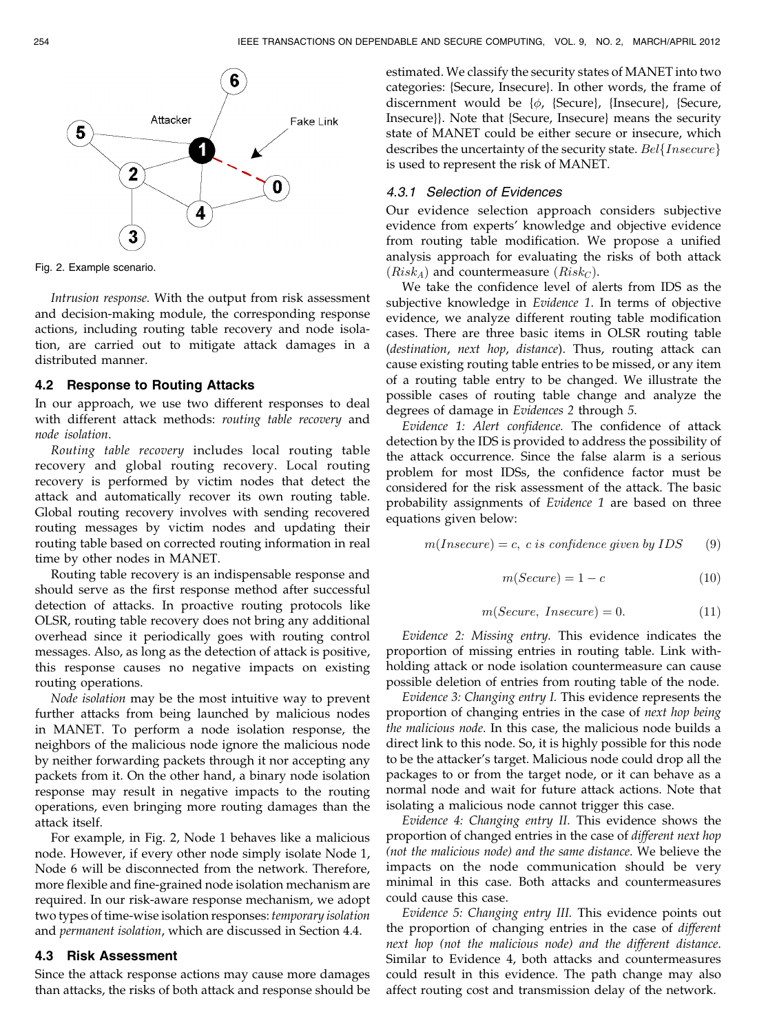

Fig. 2. Example scenario.

Intrusion response. With the output from risk assessment and decision-making module, the corresponding response actions, including routing table recovery and node isolation, are carried out to mitigate attack damages in a distributed manner.

#### 4.2 Response to Routing Attacks

In our approach, we use two different responses to deal with different attack methods: routing table recovery and node isolation.

Routing table recovery includes local routing table recovery and global routing recovery. Local routing recovery is performed by victim nodes that detect the attack and automatically recover its own routing table. Global routing recovery involves with sending recovered routing messages by victim nodes and updating their routing table based on corrected routing information in real time by other nodes in MANET.

Routing table recovery is an indispensable response and should serve as the first response method after successful detection of attacks. In proactive routing protocols like OLSR, routing table recovery does not bring any additional overhead since it periodically goes with routing control messages. Also, as long as the detection of attack is positive, this response causes no negative impacts on existing routing operations.

Node isolation may be the most intuitive way to prevent further attacks from being launched by malicious nodes in MANET. To perform a node isolation response, the neighbors of the malicious node ignore the malicious node by neither forwarding packets through it nor accepting any packets from it. On the other hand, a binary node isolation response may result in negative impacts to the routing operations, even bringing more routing damages than the attack itself.

For example, in Fig. 2, Node 1 behaves like a malicious node. However, if every other node simply isolate Node 1, Node 6 will be disconnected from the network. Therefore, more flexible and fine-grained node isolation mechanism are required. In our risk-aware response mechanism, we adopt two types of time-wise isolation responses: temporary isolation and permanent isolation, which are discussed in Section 4.4.

#### 4.3 Risk Assessment

Since the attack response actions may cause more damages than attacks, the risks of both attack and response should be estimated. We classify the security states of MANET into two categories: {Secure, Insecure}. In other words, the frame of discernment would be  $\{\phi$ , {Secure}, {Insecure}, {Secure, Insecure}}. Note that {Secure, Insecure} means the security state of MANET could be either secure or insecure, which describes the uncertainty of the security state.  $Bel{Insecure}$ is used to represent the risk of MANET.

#### 4.3.1 Selection of Evidences

Our evidence selection approach considers subjective evidence from experts' knowledge and objective evidence from routing table modification. We propose a unified analysis approach for evaluating the risks of both attack  $(Risk_A)$  and countermeasure  $(Risk_C)$ .

We take the confidence level of alerts from IDS as the subjective knowledge in *Evidence 1*. In terms of objective evidence, we analyze different routing table modification cases. There are three basic items in OLSR routing table (destination, next hop, distance). Thus, routing attack can cause existing routing table entries to be missed, or any item of a routing table entry to be changed. We illustrate the possible cases of routing table change and analyze the degrees of damage in Evidences 2 through 5.

Evidence 1: Alert confidence. The confidence of attack detection by the IDS is provided to address the possibility of the attack occurrence. Since the false alarm is a serious problem for most IDSs, the confidence factor must be considered for the risk assessment of the attack. The basic probability assignments of Evidence 1 are based on three equations given below:

$$
m(Insecure) = c, c \text{ is confidence given by } IDs
$$
 (9)

$$
m(Secure) = 1 - c \tag{10}
$$

$$
m(Secure, Insecure) = 0.
$$
 (11)

Evidence 2: Missing entry. This evidence indicates the proportion of missing entries in routing table. Link withholding attack or node isolation countermeasure can cause possible deletion of entries from routing table of the node.

Evidence 3: Changing entry I. This evidence represents the proportion of changing entries in the case of next hop being the malicious node. In this case, the malicious node builds a direct link to this node. So, it is highly possible for this node to be the attacker's target. Malicious node could drop all the packages to or from the target node, or it can behave as a normal node and wait for future attack actions. Note that isolating a malicious node cannot trigger this case.

Evidence 4: Changing entry II. This evidence shows the proportion of changed entries in the case of different next hop (not the malicious node) and the same distance. We believe the impacts on the node communication should be very minimal in this case. Both attacks and countermeasures could cause this case.

Evidence 5: Changing entry III. This evidence points out the proportion of changing entries in the case of different next hop (not the malicious node) and the different distance. Similar to Evidence 4, both attacks and countermeasures could result in this evidence. The path change may also affect routing cost and transmission delay of the network.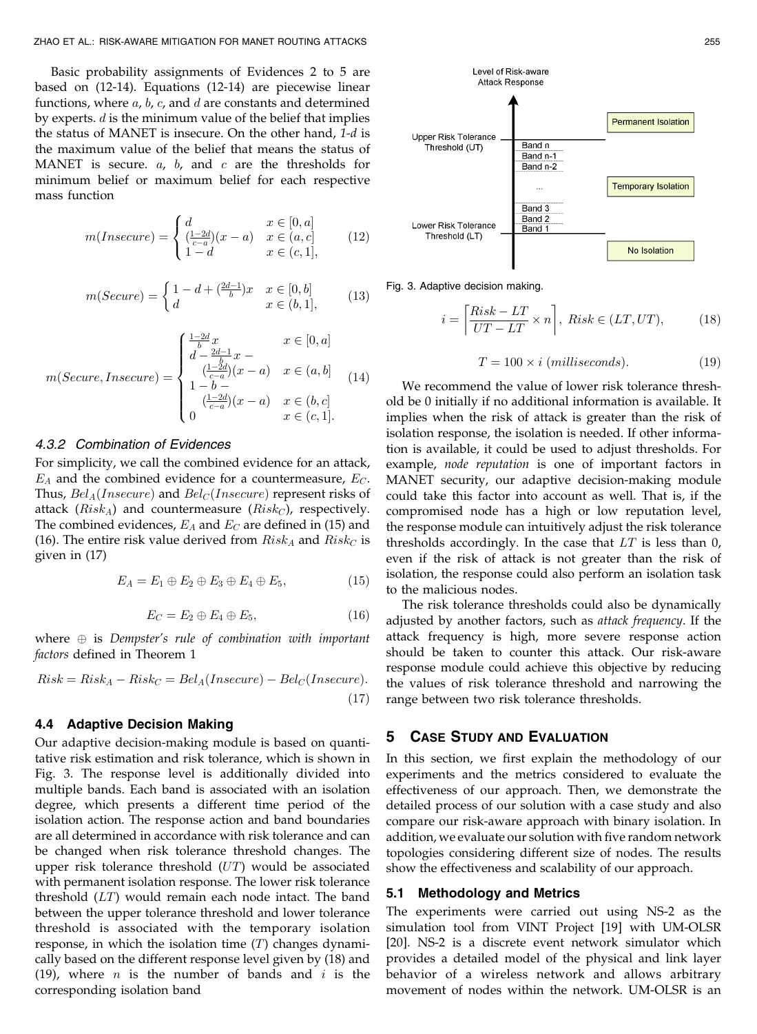Basic probability assignments of Evidences 2 to 5 are based on (12-14). Equations (12-14) are piecewise linear functions, where  $a$ ,  $b$ ,  $c$ , and  $d$  are constants and determined by experts.  $d$  is the minimum value of the belief that implies the status of MANET is insecure. On the other hand, 1-d is the maximum value of the belief that means the status of MANET is secure.  $a$ ,  $b$ , and  $c$  are the thresholds for minimum belief or maximum belief for each respective mass function

$$
m(Insecure) = \begin{cases} d & x \in [0, a] \\ \left(\frac{1-2d}{c-a}\right)(x-a) & x \in (a, c] \\ 1-d & x \in (c, 1], \end{cases}
$$
(12)

$$
m(Secure) = \begin{cases} 1 - d + \left(\frac{2d - 1}{b}\right)x & x \in [0, b] \\ d & x \in (b, 1], \end{cases}
$$
(13)

$$
m(Secure, Insecure) = \begin{cases} \frac{1-2d}{b}x & x \in [0, a] \\ d - \frac{2d-1}{c-a}x - \\ 1 - \frac{b}{c-a}(x-a) & x \in (a, b] \\ 1 - \frac{b}{c-a}(x-a) & x \in (b, c] \\ 0 & x \in (c, 1]. \end{cases}
$$
 (14)

#### 4.3.2 Combination of Evidences

For simplicity, we call the combined evidence for an attack,  $E_A$  and the combined evidence for a countermeasure,  $E_C$ . Thus,  $Bel<sub>A</sub>(Insecure)$  and  $Bel<sub>C</sub>(Insecure)$  represent risks of attack ( $Risk_A$ ) and countermeasure ( $Risk_C$ ), respectively. The combined evidences,  $E_A$  and  $E_C$  are defined in (15) and (16). The entire risk value derived from  $Risk_A$  and  $Risk_C$  is given in (17)

$$
E_A = E_1 \oplus E_2 \oplus E_3 \oplus E_4 \oplus E_5, \tag{15}
$$

$$
E_C = E_2 \oplus E_4 \oplus E_5, \tag{16}
$$

where  $\oplus$  is Dempster's rule of combination with important factors defined in Theorem 1

$$
Risk = Risk_A - Risk_C = Bel_A (Insecure) - Bel_C (Insecure).
$$
\n(17)

#### 4.4 Adaptive Decision Making

Our adaptive decision-making module is based on quantitative risk estimation and risk tolerance, which is shown in Fig. 3. The response level is additionally divided into multiple bands. Each band is associated with an isolation degree, which presents a different time period of the isolation action. The response action and band boundaries are all determined in accordance with risk tolerance and can be changed when risk tolerance threshold changes. The upper risk tolerance threshold  $(UT)$  would be associated with permanent isolation response. The lower risk tolerance threshold (LT) would remain each node intact. The band between the upper tolerance threshold and lower tolerance threshold is associated with the temporary isolation response, in which the isolation time  $(T)$  changes dynamically based on the different response level given by (18) and (19), where  $n$  is the number of bands and  $i$  is the corresponding isolation band



Fig. 3. Adaptive decision making.

$$
i = \left\lceil \frac{Risk - LT}{UT - LT} \times n \right\rceil, \; Risk \in (LT, UT), \tag{18}
$$

$$
T = 100 \times i \ (milliseconds). \tag{19}
$$

We recommend the value of lower risk tolerance threshold be 0 initially if no additional information is available. It implies when the risk of attack is greater than the risk of isolation response, the isolation is needed. If other information is available, it could be used to adjust thresholds. For example, node reputation is one of important factors in MANET security, our adaptive decision-making module could take this factor into account as well. That is, if the compromised node has a high or low reputation level, the response module can intuitively adjust the risk tolerance thresholds accordingly. In the case that  $LT$  is less than 0, even if the risk of attack is not greater than the risk of isolation, the response could also perform an isolation task to the malicious nodes.

The risk tolerance thresholds could also be dynamically adjusted by another factors, such as attack frequency. If the attack frequency is high, more severe response action should be taken to counter this attack. Our risk-aware response module could achieve this objective by reducing the values of risk tolerance threshold and narrowing the range between two risk tolerance thresholds.

#### 5 CASE STUDY AND EVALUATION

In this section, we first explain the methodology of our experiments and the metrics considered to evaluate the effectiveness of our approach. Then, we demonstrate the detailed process of our solution with a case study and also compare our risk-aware approach with binary isolation. In addition, we evaluate our solution with five random network topologies considering different size of nodes. The results show the effectiveness and scalability of our approach.

#### 5.1 Methodology and Metrics

The experiments were carried out using NS-2 as the simulation tool from VINT Project [19] with UM-OLSR [20]. NS-2 is a discrete event network simulator which provides a detailed model of the physical and link layer behavior of a wireless network and allows arbitrary movement of nodes within the network. UM-OLSR is an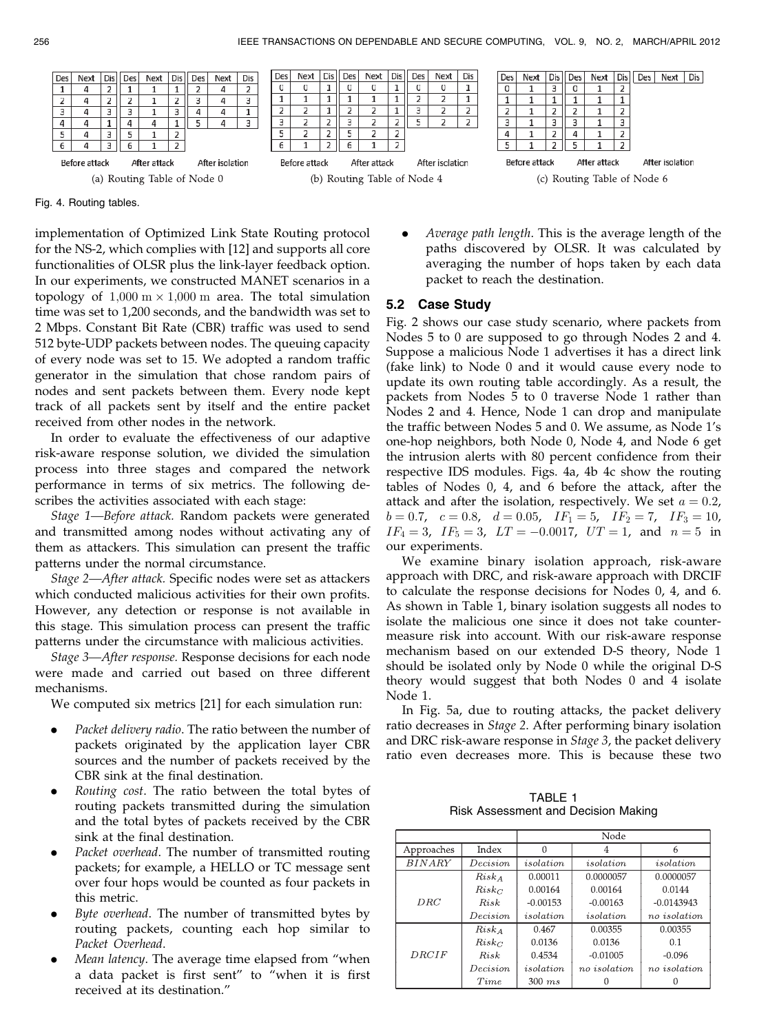

Fig. 4. Routing tables.

implementation of Optimized Link State Routing protocol for the NS-2, which complies with [12] and supports all core functionalities of OLSR plus the link-layer feedback option. In our experiments, we constructed MANET scenarios in a topology of  $1,000 \text{ m} \times 1,000 \text{ m}$  area. The total simulation time was set to 1,200 seconds, and the bandwidth was set to 2 Mbps. Constant Bit Rate (CBR) traffic was used to send 512 byte-UDP packets between nodes. The queuing capacity of every node was set to 15. We adopted a random traffic generator in the simulation that chose random pairs of nodes and sent packets between them. Every node kept track of all packets sent by itself and the entire packet received from other nodes in the network.

In order to evaluate the effectiveness of our adaptive risk-aware response solution, we divided the simulation process into three stages and compared the network performance in terms of six metrics. The following describes the activities associated with each stage:

Stage 1—Before attack. Random packets were generated and transmitted among nodes without activating any of them as attackers. This simulation can present the traffic patterns under the normal circumstance.

Stage 2—After attack. Specific nodes were set as attackers which conducted malicious activities for their own profits. However, any detection or response is not available in this stage. This simulation process can present the traffic patterns under the circumstance with malicious activities.

Stage 3—After response. Response decisions for each node were made and carried out based on three different mechanisms.

We computed six metrics [21] for each simulation run:

- Packet delivery radio. The ratio between the number of packets originated by the application layer CBR sources and the number of packets received by the CBR sink at the final destination.
- Routing cost. The ratio between the total bytes of routing packets transmitted during the simulation and the total bytes of packets received by the CBR sink at the final destination.
- Packet overhead. The number of transmitted routing packets; for example, a HELLO or TC message sent over four hops would be counted as four packets in this metric.
- Byte overhead. The number of transmitted bytes by routing packets, counting each hop similar to Packet Overhead.
- . Mean latency. The average time elapsed from "when a data packet is first sent" to "when it is first received at its destination."

. Average path length. This is the average length of the paths discovered by OLSR. It was calculated by averaging the number of hops taken by each data packet to reach the destination.

#### 5.2 Case Study

Fig. 2 shows our case study scenario, where packets from Nodes 5 to 0 are supposed to go through Nodes 2 and 4. Suppose a malicious Node 1 advertises it has a direct link (fake link) to Node 0 and it would cause every node to update its own routing table accordingly. As a result, the packets from Nodes 5 to 0 traverse Node 1 rather than Nodes 2 and 4. Hence, Node 1 can drop and manipulate the traffic between Nodes 5 and 0. We assume, as Node 1's one-hop neighbors, both Node 0, Node 4, and Node 6 get the intrusion alerts with 80 percent confidence from their respective IDS modules. Figs. 4a, 4b 4c show the routing tables of Nodes 0, 4, and 6 before the attack, after the attack and after the isolation, respectively. We set  $a = 0.2$ ,  $b = 0.7$ ,  $c = 0.8$ ,  $d = 0.05$ ,  $IF_1 = 5$ ,  $IF_2 = 7$ ,  $IF_3 = 10$ ,  $IF_4 = 3$ ,  $IF_5 = 3$ ,  $LT = -0.0017$ ,  $UT = 1$ , and  $n = 5$  in our experiments.

We examine binary isolation approach, risk-aware approach with DRC, and risk-aware approach with DRCIF to calculate the response decisions for Nodes 0, 4, and 6. As shown in Table 1, binary isolation suggests all nodes to isolate the malicious one since it does not take countermeasure risk into account. With our risk-aware response mechanism based on our extended D-S theory, Node 1 should be isolated only by Node 0 while the original D-S theory would suggest that both Nodes 0 and 4 isolate Node 1.

In Fig. 5a, due to routing attacks, the packet delivery ratio decreases in Stage 2. After performing binary isolation and DRC risk-aware response in Stage 3, the packet delivery ratio even decreases more. This is because these two

TABLE 1 Risk Assessment and Decision Making

|               |             | Node       |              |              |
|---------------|-------------|------------|--------------|--------------|
| Approaches    | Index       | $\Omega$   | 4            | 6            |
| <b>BINARY</b> | Decision    | isolation  | isolation    | isolation    |
|               | $Risk_A$    | 0.00011    | 0.0000057    | 0.0000057    |
|               | $Risk_C$    | 0.00164    | 0.00164      | 0.0144       |
| DRC           | Risk        | $-0.00153$ | $-0.00163$   | $-0.0143943$ |
|               | Decision    | isolation  | isolation    | no isolation |
|               | $Risk_A$    | 0.467      | 0.00355      | 0.00355      |
|               | $Risk_C$    | 0.0136     | 0.0136       | 0.1          |
| DRCIF         | <i>Risk</i> | 0.4534     | $-0.01005$   | $-0.096$     |
|               | Decision    | isolation  | no isolation | no isolation |
|               | Time        | $300$ $ms$ |              |              |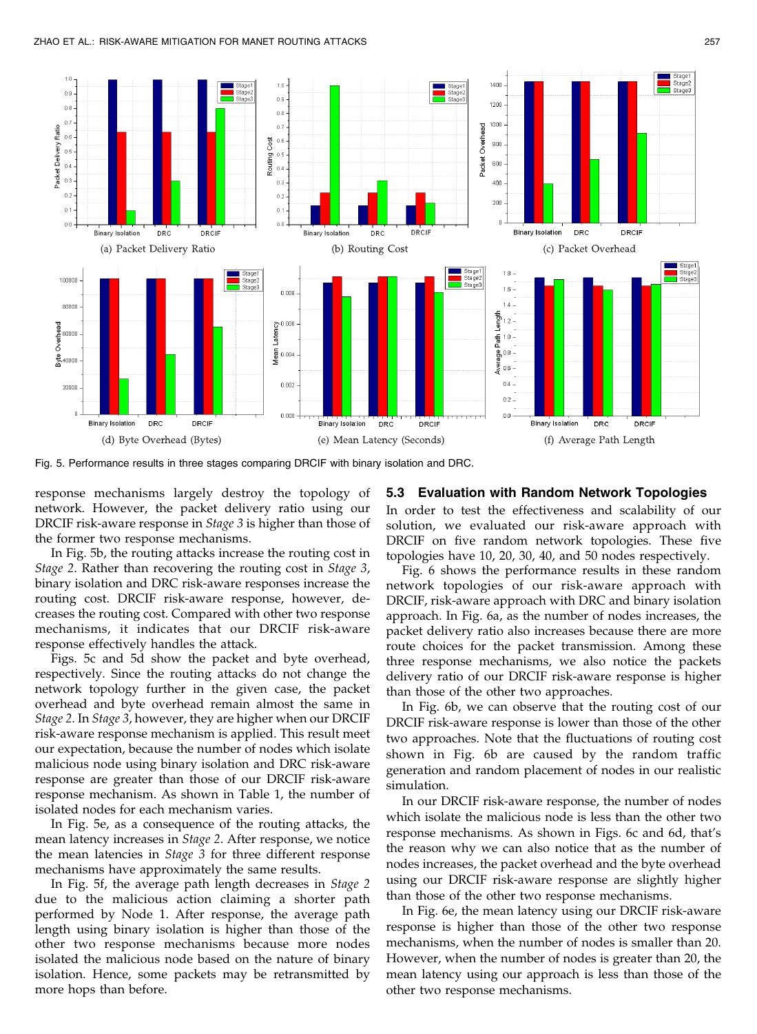

Fig. 5. Performance results in three stages comparing DRCIF with binary isolation and DRC.

response mechanisms largely destroy the topology of network. However, the packet delivery ratio using our DRCIF risk-aware response in Stage 3 is higher than those of the former two response mechanisms.

In Fig. 5b, the routing attacks increase the routing cost in Stage 2. Rather than recovering the routing cost in Stage 3, binary isolation and DRC risk-aware responses increase the routing cost. DRCIF risk-aware response, however, decreases the routing cost. Compared with other two response mechanisms, it indicates that our DRCIF risk-aware response effectively handles the attack.

Figs. 5c and 5d show the packet and byte overhead, respectively. Since the routing attacks do not change the network topology further in the given case, the packet overhead and byte overhead remain almost the same in Stage 2. In Stage 3, however, they are higher when our DRCIF risk-aware response mechanism is applied. This result meet our expectation, because the number of nodes which isolate malicious node using binary isolation and DRC risk-aware response are greater than those of our DRCIF risk-aware response mechanism. As shown in Table 1, the number of isolated nodes for each mechanism varies.

In Fig. 5e, as a consequence of the routing attacks, the mean latency increases in Stage 2. After response, we notice the mean latencies in Stage 3 for three different response mechanisms have approximately the same results.

In Fig. 5f, the average path length decreases in Stage 2 due to the malicious action claiming a shorter path performed by Node 1. After response, the average path length using binary isolation is higher than those of the other two response mechanisms because more nodes isolated the malicious node based on the nature of binary isolation. Hence, some packets may be retransmitted by more hops than before.

5.3 Evaluation with Random Network Topologies In order to test the effectiveness and scalability of our solution, we evaluated our risk-aware approach with DRCIF on five random network topologies. These five topologies have 10, 20, 30, 40, and 50 nodes respectively.

Fig. 6 shows the performance results in these random network topologies of our risk-aware approach with DRCIF, risk-aware approach with DRC and binary isolation approach. In Fig. 6a, as the number of nodes increases, the packet delivery ratio also increases because there are more route choices for the packet transmission. Among these three response mechanisms, we also notice the packets delivery ratio of our DRCIF risk-aware response is higher than those of the other two approaches.

In Fig. 6b, we can observe that the routing cost of our DRCIF risk-aware response is lower than those of the other two approaches. Note that the fluctuations of routing cost shown in Fig. 6b are caused by the random traffic generation and random placement of nodes in our realistic simulation.

In our DRCIF risk-aware response, the number of nodes which isolate the malicious node is less than the other two response mechanisms. As shown in Figs. 6c and 6d, that's the reason why we can also notice that as the number of nodes increases, the packet overhead and the byte overhead using our DRCIF risk-aware response are slightly higher than those of the other two response mechanisms.

In Fig. 6e, the mean latency using our DRCIF risk-aware response is higher than those of the other two response mechanisms, when the number of nodes is smaller than 20. However, when the number of nodes is greater than 20, the mean latency using our approach is less than those of the other two response mechanisms.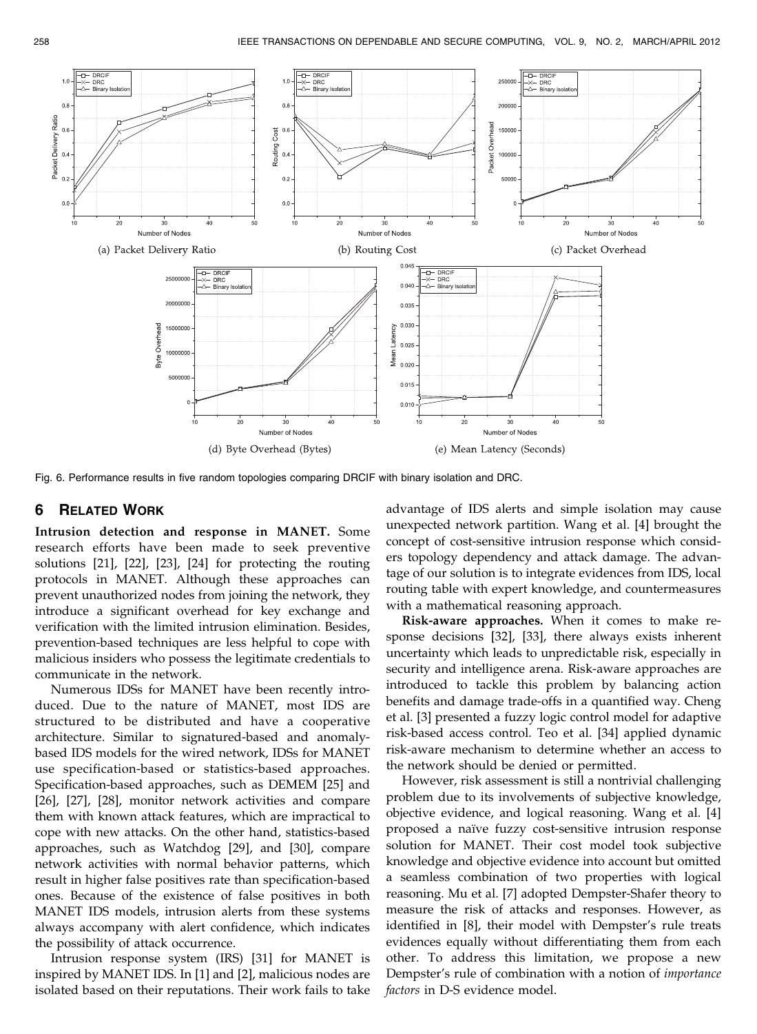

Fig. 6. Performance results in five random topologies comparing DRCIF with binary isolation and DRC.

# 6 RELATED WORK

Intrusion detection and response in MANET. Some research efforts have been made to seek preventive solutions [21], [22], [23], [24] for protecting the routing protocols in MANET. Although these approaches can prevent unauthorized nodes from joining the network, they introduce a significant overhead for key exchange and verification with the limited intrusion elimination. Besides, prevention-based techniques are less helpful to cope with malicious insiders who possess the legitimate credentials to communicate in the network.

Numerous IDSs for MANET have been recently introduced. Due to the nature of MANET, most IDS are structured to be distributed and have a cooperative architecture. Similar to signatured-based and anomalybased IDS models for the wired network, IDSs for MANET use specification-based or statistics-based approaches. Specification-based approaches, such as DEMEM [25] and [26], [27], [28], monitor network activities and compare them with known attack features, which are impractical to cope with new attacks. On the other hand, statistics-based approaches, such as Watchdog [29], and [30], compare network activities with normal behavior patterns, which result in higher false positives rate than specification-based ones. Because of the existence of false positives in both MANET IDS models, intrusion alerts from these systems always accompany with alert confidence, which indicates the possibility of attack occurrence.

Intrusion response system (IRS) [31] for MANET is inspired by MANET IDS. In [1] and [2], malicious nodes are isolated based on their reputations. Their work fails to take advantage of IDS alerts and simple isolation may cause unexpected network partition. Wang et al. [4] brought the concept of cost-sensitive intrusion response which considers topology dependency and attack damage. The advantage of our solution is to integrate evidences from IDS, local routing table with expert knowledge, and countermeasures with a mathematical reasoning approach.

Risk-aware approaches. When it comes to make response decisions [32], [33], there always exists inherent uncertainty which leads to unpredictable risk, especially in security and intelligence arena. Risk-aware approaches are introduced to tackle this problem by balancing action benefits and damage trade-offs in a quantified way. Cheng et al. [3] presented a fuzzy logic control model for adaptive risk-based access control. Teo et al. [34] applied dynamic risk-aware mechanism to determine whether an access to the network should be denied or permitted.

However, risk assessment is still a nontrivial challenging problem due to its involvements of subjective knowledge, objective evidence, and logical reasoning. Wang et al. [4] proposed a naïve fuzzy cost-sensitive intrusion response solution for MANET. Their cost model took subjective knowledge and objective evidence into account but omitted a seamless combination of two properties with logical reasoning. Mu et al. [7] adopted Dempster-Shafer theory to measure the risk of attacks and responses. However, as identified in [8], their model with Dempster's rule treats evidences equally without differentiating them from each other. To address this limitation, we propose a new Dempster's rule of combination with a notion of importance factors in D-S evidence model.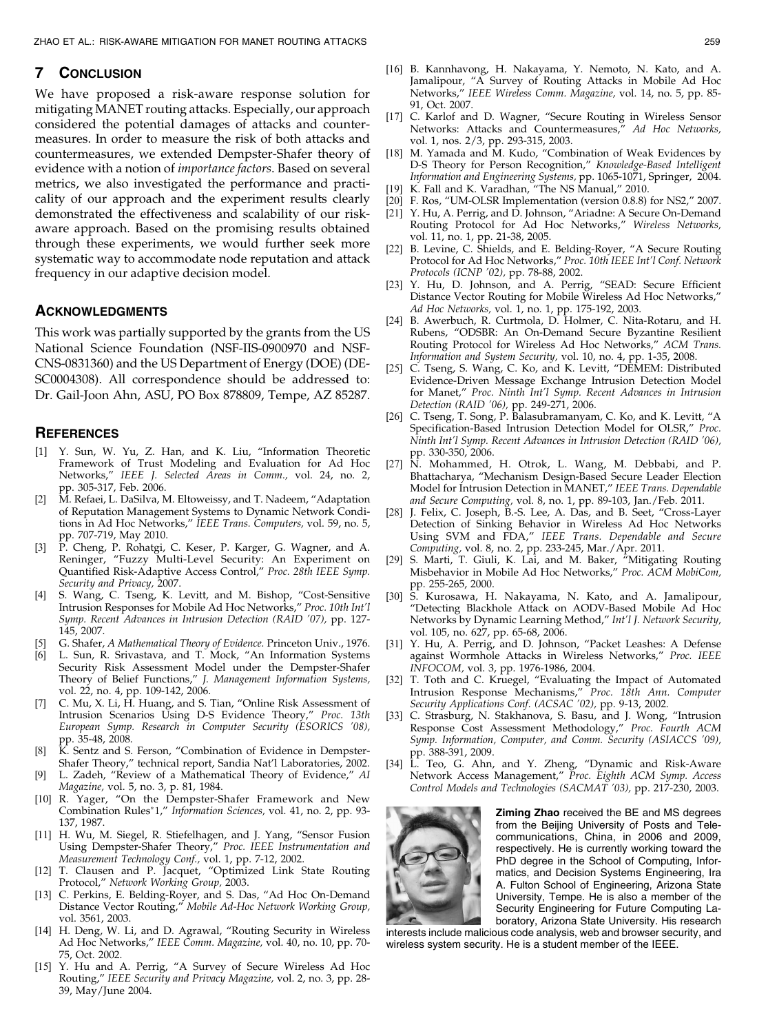# 7 CONCLUSION

We have proposed a risk-aware response solution for mitigating MANET routing attacks. Especially, our approach considered the potential damages of attacks and countermeasures. In order to measure the risk of both attacks and countermeasures, we extended Dempster-Shafer theory of evidence with a notion of *importance factors*. Based on several metrics, we also investigated the performance and practicality of our approach and the experiment results clearly demonstrated the effectiveness and scalability of our riskaware approach. Based on the promising results obtained through these experiments, we would further seek more systematic way to accommodate node reputation and attack frequency in our adaptive decision model.

#### ACKNOWLEDGMENTS

This work was partially supported by the grants from the US National Science Foundation (NSF-IIS-0900970 and NSF-CNS-0831360) and the US Department of Energy (DOE) (DE-SC0004308). All correspondence should be addressed to: Dr. Gail-Joon Ahn, ASU, PO Box 878809, Tempe, AZ 85287.

#### **REFERENCES**

- [1] Y. Sun, W. Yu, Z. Han, and K. Liu, "Information Theoretic Framework of Trust Modeling and Evaluation for Ad Hoc Networks," IEEE J. Selected Areas in Comm., vol. 24, no. 2, pp. 305-317, Feb. 2006.
- [2] M. Refaei, L. DaSilva, M. Eltoweissy, and T. Nadeem, "Adaptation" of Reputation Management Systems to Dynamic Network Conditions in Ad Hoc Networks," IEEE Trans. Computers, vol. 59, no. 5, pp. 707-719, May 2010.
- [3] P. Cheng, P. Rohatgi, C. Keser, P. Karger, G. Wagner, and A. Reninger, "Fuzzy Multi-Level Security: An Experiment on Quantified Risk-Adaptive Access Control," Proc. 28th IEEE Symp. Security and Privacy, 2007.
- [4] S. Wang, C. Tseng, K. Levitt, and M. Bishop, "Cost-Sensitive Intrusion Responses for Mobile Ad Hoc Networks," Proc. 10th Int'l Symp. Recent Advances in Intrusion Detection (RAID '07), pp. 127- 145, 2007.
- [5] G. Shafer, A Mathematical Theory of Evidence. Princeton Univ., 1976.
- [6] L. Sun, R. Srivastava, and T. Mock, "An Information Systems Security Risk Assessment Model under the Dempster-Shafer Theory of Belief Functions," J. Management Information Systems, vol. 22, no. 4, pp. 109-142, 2006.
- [7] C. Mu, X. Li, H. Huang, and S. Tian, "Online Risk Assessment of Intrusion Scenarios Using D-S Evidence Theory," Proc. 13th European Symp. Research in Computer Security (ESORICS '08), pp. 35-48, 2008.
- [8] K. Sentz and S. Ferson, "Combination of Evidence in Dempster-Shafer Theory," technical report, Sandia Nat'l Laboratories, 2002.
- [9] L. Zadeh, "Review of a Mathematical Theory of Evidence," AI Magazine, vol. 5, no. 3, p. 81, 1984.
- [10] R. Yager, "On the Dempster-Shafer Framework and New Combination Rules<sup>\*1</sup>," Information Sciences, vol. 41, no. 2, pp. 93-137, 1987.
- [11] H. Wu, M. Siegel, R. Stiefelhagen, and J. Yang, "Sensor Fusion Using Dempster-Shafer Theory," Proc. IEEE Instrumentation and Measurement Technology Conf., vol. 1, pp. 7-12, 2002.
- [12] T. Clausen and P. Jacquet, "Optimized Link State Routing Protocol," Network Working Group, 2003.
- [13] C. Perkins, E. Belding-Royer, and S. Das, "Ad Hoc On-Demand Distance Vector Routing," Mobile Ad-Hoc Network Working Group, vol. 3561, 2003.
- [14] H. Deng, W. Li, and D. Agrawal, "Routing Security in Wireless Ad Hoc Networks," IEEE Comm. Magazine, vol. 40, no. 10, pp. 70- 75, Oct. 2002.
- [15] Y. Hu and A. Perrig, "A Survey of Secure Wireless Ad Hoc Routing," IEEE Security and Privacy Magazine, vol. 2, no. 3, pp. 28- 39, May/June 2004.
- [16] B. Kannhavong, H. Nakayama, Y. Nemoto, N. Kato, and A. Jamalipour, "A Survey of Routing Attacks in Mobile Ad Hoc Networks," IEEE Wireless Comm. Magazine, vol. 14, no. 5, pp. 85- 91, Oct. 2007.
- [17] C. Karlof and D. Wagner, "Secure Routing in Wireless Sensor Networks: Attacks and Countermeasures," Ad Hoc Networks, vol. 1, nos. 2/3, pp. 293-315, 2003.
- [18] M. Yamada and M. Kudo, "Combination of Weak Evidences by D-S Theory for Person Recognition," Knowledge-Based Intelligent Information and Engineering Systems, pp. 1065-1071, Springer, 2004. [19] K. Fall and K. Varadhan, "The NS Manual," 2010.
- 
- [20] F. Ros, "UM-OLSR Implementation (version 0.8.8) for NS2," 2007.
- [21] Y. Hu, A. Perrig, and D. Johnson, "Ariadne: A Secure On-Demand Routing Protocol for Ad Hoc Networks," Wireless Networks, vol. 11, no. 1, pp. 21-38, 2005.
- [22] B. Levine, C. Shields, and E. Belding-Royer, "A Secure Routing Protocol for Ad Hoc Networks," Proc. 10th IEEE Int'l Conf. Network Protocols (ICNP '02), pp. 78-88, 2002.
- [23] Y. Hu, D. Johnson, and A. Perrig, "SEAD: Secure Efficient Distance Vector Routing for Mobile Wireless Ad Hoc Networks," Ad Hoc Networks, vol. 1, no. 1, pp. 175-192, 2003.
- [24] B. Awerbuch, R. Curtmola, D. Holmer, C. Nita-Rotaru, and H. Rubens, "ODSBR: An On-Demand Secure Byzantine Resilient Routing Protocol for Wireless Ad Hoc Networks," ACM Trans. Information and System Security, vol. 10, no. 4, pp. 1-35, 2008.
- [25] C. Tseng, S. Wang, C. Ko, and K. Levitt, "DEMEM: Distributed Evidence-Driven Message Exchange Intrusion Detection Model for Manet," Proc. Ninth Int'l Symp. Recent Advances in Intrusion Detection (RAID '06), pp. 249-271, 2006.
- [26] C. Tseng, T. Song, P. Balasubramanyam, C. Ko, and K. Levitt, "A Specification-Based Intrusion Detection Model for OLSR," Proc. Ninth Int'l Symp. Recent Advances in Intrusion Detection (RAID '06), pp. 330-350, 2006.
- [27] N. Mohammed, H. Otrok, L. Wang, M. Debbabi, and P. Bhattacharya, "Mechanism Design-Based Secure Leader Election Model for Intrusion Detection in MANET," IEEE Trans. Dependable and Secure Computing, vol. 8, no. 1, pp. 89-103, Jan./Feb. 2011.
- [28] J. Felix, C. Joseph, B.-S. Lee, A. Das, and B. Seet, "Cross-Layer Detection of Sinking Behavior in Wireless Ad Hoc Networks Using SVM and FDA," IEEE Trans. Dependable and Secure Computing, vol. 8, no. 2, pp. 233-245, Mar./Apr. 2011.
- [29] S. Marti, T. Giuli, K. Lai, and M. Baker, "Mitigating Routing Misbehavior in Mobile Ad Hoc Networks," Proc. ACM MobiCom, pp. 255-265, 2000.
- [30] S. Kurosawa, H. Nakayama, N. Kato, and A. Jamalipour, "Detecting Blackhole Attack on AODV-Based Mobile Ad Hoc Networks by Dynamic Learning Method," Int'l J. Network Security, vol. 105, no. 627, pp. 65-68, 2006.
- [31] Y. Hu, A. Perrig, and D. Johnson, "Packet Leashes: A Defense against Wormhole Attacks in Wireless Networks," Proc. IEEE INFOCOM, vol. 3, pp. 1976-1986, 2004.
- [32] T. Toth and C. Kruegel, "Evaluating the Impact of Automated Intrusion Response Mechanisms," Proc. 18th Ann. Computer Security Applications Conf. (ACSAC '02), pp. 9-13, 2002.
- [33] C. Strasburg, N. Stakhanova, S. Basu, and J. Wong, "Intrusion Response Cost Assessment Methodology," Proc. Fourth ACM Symp. Information, Computer, and Comm. Security (ASIACCS '09), pp. 388-391, 2009.
- [34] L. Teo, G. Ahn, and Y. Zheng, "Dynamic and Risk-Aware Network Access Management," Proc. Eighth ACM Symp. Access Control Models and Technologies (SACMAT '03), pp. 217-230, 2003.



Ziming Zhao received the BE and MS degrees from the Beijing University of Posts and Telecommunications, China, in 2006 and 2009, respectively. He is currently working toward the PhD degree in the School of Computing, Informatics, and Decision Systems Engineering, Ira A. Fulton School of Engineering, Arizona State University, Tempe. He is also a member of the Security Engineering for Future Computing Laboratory, Arizona State University. His research

interests include malicious code analysis, web and browser security, and wireless system security. He is a student member of the IEEE.